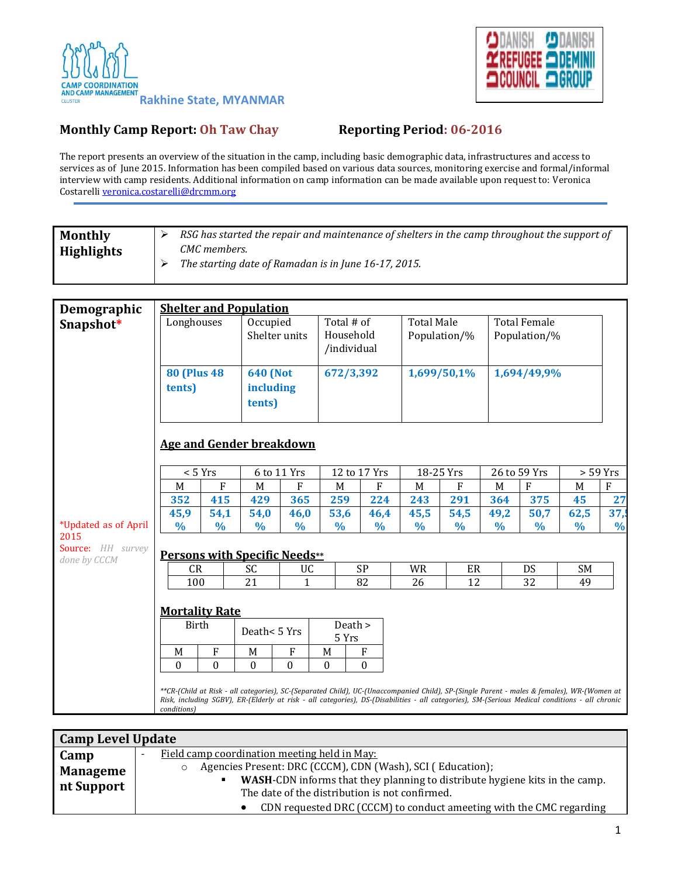



## **Monthly Camp Report: Oh Taw Chay <b>Reporting Period: 06-2016**

The report presents an overview of the situation in the camp, including basic demographic data, infrastructures and access to services as of June 2015. Information has been compiled based on various data sources, monitoring exercise and formal/informal interview with camp residents. Additional information on camp information can be made available upon request to: Veronica Costarell[i veronica.costarelli@drcmm.org](mailto:veronica.costarelli@drcmm.org)

| <b>Monthly</b>    | RSG has started the repair and maintenance of shelters in the camp throughout the support of |
|-------------------|----------------------------------------------------------------------------------------------|
| <b>Highlights</b> | CMC members.                                                                                 |
|                   | The starting date of Ramadan is in June 16-17, 2015.                                         |
|                   |                                                                                              |

| Demographic                       | <b>Shelter and Population</b>                                                                                                                                                                                                                                                                              |                  |                              |                  |                          |               |                   |               |              |                     |            |               |
|-----------------------------------|------------------------------------------------------------------------------------------------------------------------------------------------------------------------------------------------------------------------------------------------------------------------------------------------------------|------------------|------------------------------|------------------|--------------------------|---------------|-------------------|---------------|--------------|---------------------|------------|---------------|
| Snapshot*                         | Longhouses                                                                                                                                                                                                                                                                                                 |                  | Occupied                     |                  | Total # of               |               | <b>Total Male</b> |               |              | <b>Total Female</b> |            |               |
|                                   |                                                                                                                                                                                                                                                                                                            |                  | Shelter units                |                  | Household<br>/individual |               | Population/%      |               |              | Population/%        |            |               |
|                                   | <b>80 (Plus 48)</b><br>tents)                                                                                                                                                                                                                                                                              |                  | <b>640 (Not</b><br>including |                  | 672/3,392                |               | 1,699/50,1%       |               |              | 1,694/49,9%         |            |               |
|                                   |                                                                                                                                                                                                                                                                                                            |                  | tents)                       |                  |                          |               |                   |               |              |                     |            |               |
|                                   | <b>Age and Gender breakdown</b>                                                                                                                                                                                                                                                                            |                  |                              |                  |                          |               |                   |               |              |                     |            |               |
|                                   | < 5 Yrs                                                                                                                                                                                                                                                                                                    |                  | 6 to 11 Yrs                  |                  | 12 to 17 Yrs             |               | 18-25 Yrs         |               | 26 to 59 Yrs |                     | $> 59$ Yrs |               |
|                                   | M                                                                                                                                                                                                                                                                                                          | F                | M                            | F                | M                        | F             | M                 | F             | M            | F                   | M          | F             |
|                                   | 352                                                                                                                                                                                                                                                                                                        | 415              | 429                          | 365              | 259                      | 224           | 243               | 291           | 364          | 375                 | 45         | 27            |
|                                   | 45,9                                                                                                                                                                                                                                                                                                       | 54,1             | 54,0                         | 46,0             | 53,6                     | 46,4          | 45,5              | 54,5          | 49,2         | 50,7                | 62,5       | 37,           |
| *Updated as of April<br>2015      | $\frac{0}{0}$                                                                                                                                                                                                                                                                                              | $\frac{0}{0}$    | $\frac{0}{0}$                | $\%$             | $\frac{0}{0}$            | $\frac{0}{0}$ | $\frac{0}{0}$     | $\frac{0}{0}$ | $\%$         | $\frac{0}{0}$       | $\%$       | $\frac{0}{0}$ |
| Source: HH survey<br>done by CCCM | <b>Persons with Specific Needs**</b>                                                                                                                                                                                                                                                                       |                  |                              |                  |                          |               |                   |               |              |                     |            |               |
|                                   | CR                                                                                                                                                                                                                                                                                                         |                  | SC                           | UC               |                          | <b>SP</b>     | <b>WR</b>         | ER            |              | DS                  | <b>SM</b>  |               |
|                                   | 100                                                                                                                                                                                                                                                                                                        |                  | 21                           | 1                |                          | 82            | 26                | 12            |              | 32                  | 49         |               |
|                                   | <b>Mortality Rate</b>                                                                                                                                                                                                                                                                                      |                  |                              |                  |                          |               |                   |               |              |                     |            |               |
|                                   | <b>Birth</b>                                                                                                                                                                                                                                                                                               |                  | Death<5 Yrs                  |                  | Death $>$<br>5 Yrs       |               |                   |               |              |                     |            |               |
|                                   | M                                                                                                                                                                                                                                                                                                          | $\rm F$          | M                            | F                | M                        | F             |                   |               |              |                     |            |               |
|                                   | $\mathbf{0}$                                                                                                                                                                                                                                                                                               | $\boldsymbol{0}$ | $\theta$                     | $\boldsymbol{0}$ | $\theta$                 | $\mathbf{0}$  |                   |               |              |                     |            |               |
|                                   | **CR-(Child at Risk - all categories), SC-(Separated Child), UC-(Unaccompanied Child), SP-(Single Parent - males & females), WR-(Women at<br>Risk, including SGBV), ER-(Elderly at risk - all categories), DS-(Disabilities - all categories), SM-(Serious Medical conditions - all chronic<br>conditions) |                  |                              |                  |                          |               |                   |               |              |                     |            |               |

| <b>Camp Level Update</b> |                                                                                                                               |  |  |  |  |
|--------------------------|-------------------------------------------------------------------------------------------------------------------------------|--|--|--|--|
| Camp                     | Field camp coordination meeting held in May:<br>$\overline{\phantom{0}}$                                                      |  |  |  |  |
| <b>Manageme</b>          | Agencies Present: DRC (CCCM), CDN (Wash), SCI (Education);                                                                    |  |  |  |  |
| nt Support               | WASH-CDN informs that they planning to distribute hygiene kits in the camp.<br>The date of the distribution is not confirmed. |  |  |  |  |
|                          | CDN requested DRC (CCCM) to conduct ameeting with the CMC regarding                                                           |  |  |  |  |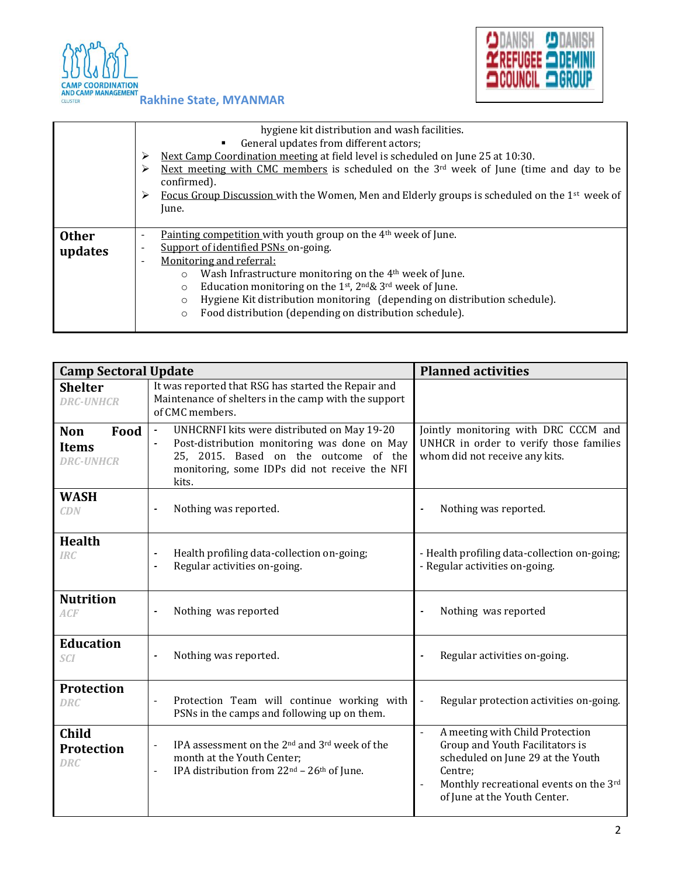



|              | hygiene kit distribution and wash facilities.<br>General updates from different actors;<br>Next Camp Coordination meeting at field level is scheduled on June 25 at 10:30.<br>Next meeting with CMC members is scheduled on the $3rd$ week of June (time and day to be<br>confirmed).                                                    |  |  |  |  |  |
|--------------|------------------------------------------------------------------------------------------------------------------------------------------------------------------------------------------------------------------------------------------------------------------------------------------------------------------------------------------|--|--|--|--|--|
|              |                                                                                                                                                                                                                                                                                                                                          |  |  |  |  |  |
|              | Focus Group Discussion with the Women, Men and Elderly groups is scheduled on the 1 <sup>st</sup> week of<br>➤<br>June.                                                                                                                                                                                                                  |  |  |  |  |  |
| <b>Other</b> | Painting competition with youth group on the $4th$ week of June.<br>$\overline{\phantom{a}}$                                                                                                                                                                                                                                             |  |  |  |  |  |
| updates      | Support of identified PSNs on-going.<br>$\overline{\phantom{0}}$<br>Monitoring and referral:<br>$\qquad \qquad \blacksquare$                                                                                                                                                                                                             |  |  |  |  |  |
|              | Wash Infrastructure monitoring on the 4 <sup>th</sup> week of June.<br>$\circ$<br>Education monitoring on the 1 <sup>st</sup> , $2^{nd}\& 3^{rd}$ week of June.<br>$\circ$<br>Hygiene Kit distribution monitoring (depending on distribution schedule).<br>$\circ$<br>Food distribution (depending on distribution schedule).<br>$\circ$ |  |  |  |  |  |

| <b>Camp Sectoral Update</b>                            |                                                                                                                                                                                                                                    | <b>Planned activities</b>                                                                                                                                                                                      |  |  |  |
|--------------------------------------------------------|------------------------------------------------------------------------------------------------------------------------------------------------------------------------------------------------------------------------------------|----------------------------------------------------------------------------------------------------------------------------------------------------------------------------------------------------------------|--|--|--|
| <b>Shelter</b><br><b>DRC-UNHCR</b>                     | It was reported that RSG has started the Repair and<br>Maintenance of shelters in the camp with the support<br>of CMC members.                                                                                                     |                                                                                                                                                                                                                |  |  |  |
| Food<br><b>Non</b><br><b>Items</b><br><b>DRC-UNHCR</b> | UNHCRNFI kits were distributed on May 19-20<br>$\blacksquare$<br>Post-distribution monitoring was done on May<br>$\blacksquare$<br>25, 2015. Based on the outcome of the<br>monitoring, some IDPs did not receive the NFI<br>kits. | Jointly monitoring with DRC CCCM and<br>UNHCR in order to verify those families<br>whom did not receive any kits.                                                                                              |  |  |  |
| <b>WASH</b><br>CDN                                     | Nothing was reported.<br>$\overline{\phantom{a}}$                                                                                                                                                                                  | Nothing was reported.                                                                                                                                                                                          |  |  |  |
| <b>Health</b><br><b>IRC</b>                            | Health profiling data-collection on-going;<br>Regular activities on-going.                                                                                                                                                         | - Health profiling data-collection on-going;<br>- Regular activities on-going.                                                                                                                                 |  |  |  |
| <b>Nutrition</b><br><b>ACF</b>                         | Nothing was reported<br>$\overline{\phantom{a}}$                                                                                                                                                                                   | Nothing was reported                                                                                                                                                                                           |  |  |  |
| <b>Education</b><br><b>SCI</b>                         | Nothing was reported.<br>$\overline{\phantom{a}}$                                                                                                                                                                                  | Regular activities on-going.                                                                                                                                                                                   |  |  |  |
| <b>Protection</b><br><b>DRC</b>                        | Protection Team will continue working with<br>$\overline{\phantom{a}}$<br>PSNs in the camps and following up on them.                                                                                                              | Regular protection activities on-going.<br>$\overline{\phantom{m}}$                                                                                                                                            |  |  |  |
| Child<br><b>Protection</b><br><b>DRC</b>               | IPA assessment on the 2 <sup>nd</sup> and 3 <sup>rd</sup> week of the<br>$\overline{\phantom{a}}$<br>month at the Youth Center;<br>IPA distribution from 22 <sup>nd</sup> - 26 <sup>th</sup> of June.<br>$\overline{\phantom{a}}$  | A meeting with Child Protection<br>$\blacksquare$<br>Group and Youth Facilitators is<br>scheduled on June 29 at the Youth<br>Centre:<br>Monthly recreational events on the 3rd<br>of June at the Youth Center. |  |  |  |